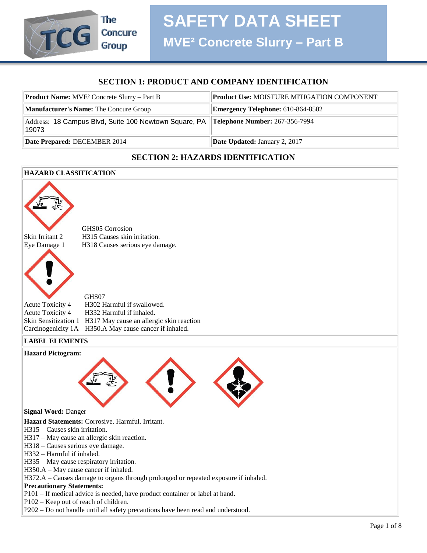

## **SECTION 1: PRODUCT AND COMPANY IDENTIFICATION**

| <b>Product Name:</b> MVE <sup>2</sup> Concrete Slurry – Part B                                | <b>Product Use: MOISTURE MITIGATION COMPONENT</b> |
|-----------------------------------------------------------------------------------------------|---------------------------------------------------|
| Manufacturer's Name: The Concure Group                                                        | <b>Emergency Telephone:</b> 610-864-8502          |
| Address: 18 Campus Blvd, Suite 100 Newtown Square, PA Telephone Number: 267-356-7994<br>19073 |                                                   |
| Date Prepared: DECEMBER 2014                                                                  | <b>Date Updated: January 2, 2017</b>              |

## **SECTION 2: HAZARDS IDENTIFICATION**

#### **HAZARD CLASSIFICATION**

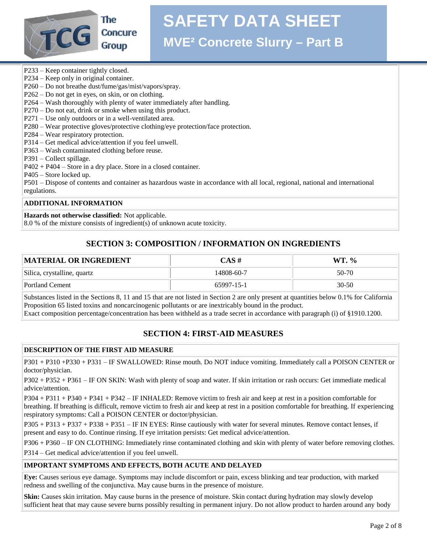

**Concure** 

# **SAFETY DATA SHEET**

# **MVE² Concrete Slurry – Part B**

- P233 Keep container tightly closed.
- P234 Keep only in original container.
- P260 Do not breathe dust/fume/gas/mist/vapors/spray.
- P262 Do not get in eyes, on skin, or on clothing.
- P264 Wash thoroughly with plenty of water immediately after handling.
- P270 Do not eat, drink or smoke when using this product.
- P271 Use only outdoors or in a well-ventilated area.
- P280 Wear protective gloves/protective clothing/eye protection/face protection.
- P284 Wear respiratory protection.
- P314 Get medical advice/attention if you feel unwell.
- P363 Wash contaminated clothing before reuse.
- P391 Collect spillage.
- P402 + P404 Store in a dry place. Store in a closed container.
- P405 Store locked up.

P501 – Dispose of contents and container as hazardous waste in accordance with all local, regional, national and international regulations.

#### **ADDITIONAL INFORMATION**

#### **Hazards not otherwise classified:** Not applicable.

8.0 % of the mixture consists of ingredient(s) of unknown acute toxicity.

# **SECTION 3: COMPOSITION / INFORMATION ON INGREDIENTS**

| <b>MATERIAL OR INGREDIENT</b> | CAS #      | WT. %     |
|-------------------------------|------------|-----------|
| Silica, crystalline, quartz   | 14808-60-7 | $50-70$   |
| <b>Portland Cement</b>        | 65997-15-1 | $30 - 50$ |

Substances listed in the Sections 8, 11 and 15 that are not listed in Section 2 are only present at quantities below 0.1% for California Proposition 65 listed toxins and noncarcinogenic pollutants or are inextricably bound in the product. Exact composition percentage/concentration has been withheld as a trade secret in accordance with paragraph (i) of §1910.1200.

# **SECTION 4: FIRST-AID MEASURES**

#### **DESCRIPTION OF THE FIRST AID MEASURE**

P301 + P310 +P330 + P331 – IF SWALLOWED: Rinse mouth. Do NOT induce vomiting. Immediately call a POISON CENTER or doctor/physician.

P302 + P352 + P361 – IF ON SKIN: Wash with plenty of soap and water. If skin irritation or rash occurs: Get immediate medical advice/attention.

P304 + P311 + P340 + P341 + P342 – IF INHALED: Remove victim to fresh air and keep at rest in a position comfortable for breathing. If breathing is difficult, remove victim to fresh air and keep at rest in a position comfortable for breathing. If experiencing respiratory symptoms: Call a POISON CENTER or doctor/physician.

P305 + P313 + P337 + P338 + P351 – IF IN EYES: Rinse cautiously with water for several minutes. Remove contact lenses, if present and easy to do. Continue rinsing. If eye irritation persists: Get medical advice/attention.

P306 + P360 – IF ON CLOTHING: Immediately rinse contaminated clothing and skin with plenty of water before removing clothes. P314 – Get medical advice/attention if you feel unwell.

#### **IMPORTANT SYMPTOMS AND EFFECTS, BOTH ACUTE AND DELAYED**

**Eye:** Causes serious eye damage. Symptoms may include discomfort or pain, excess blinking and tear production, with marked redness and swelling of the conjunctiva. May cause burns in the presence of moisture.

**Skin:** Causes skin irritation. May cause burns in the presence of moisture. Skin contact during hydration may slowly develop sufficient heat that may cause severe burns possibly resulting in permanent injury. Do not allow product to harden around any body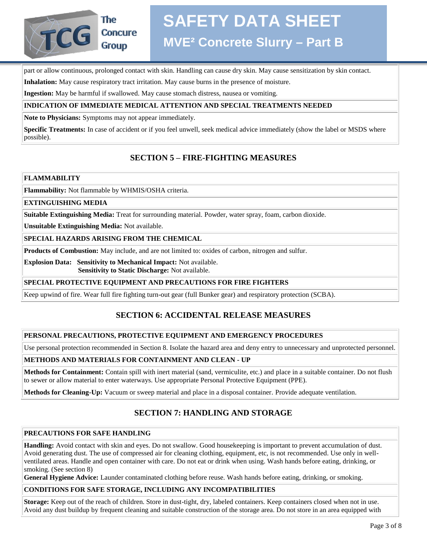

# The **Concure Group**

# **SAFETY DATA SHEET MVE² Concrete Slurry – Part B**

part or allow continuous, prolonged contact with skin. Handling can cause dry skin. May cause sensitization by skin contact.

**Inhalation:** May cause respiratory tract irritation. May cause burns in the presence of moisture.

**Ingestion:** May be harmful if swallowed. May cause stomach distress, nausea or vomiting.

#### **INDICATION OF IMMEDIATE MEDICAL ATTENTION AND SPECIAL TREATMENTS NEEDED**

**Note to Physicians:** Symptoms may not appear immediately.

**Specific Treatments:** In case of accident or if you feel unwell, seek medical advice immediately (show the label or MSDS where possible).

# **SECTION 5 – FIRE-FIGHTING MEASURES**

#### **FLAMMABILITY**

**Flammability:** Not flammable by WHMIS/OSHA criteria.

#### **EXTINGUISHING MEDIA**

**Suitable Extinguishing Media:** Treat for surrounding material. Powder, water spray, foam, carbon dioxide.

**Unsuitable Extinguishing Media:** Not available.

#### **SPECIAL HAZARDS ARISING FROM THE CHEMICAL**

**Products of Combustion:** May include, and are not limited to: oxides of carbon, nitrogen and sulfur.

**Explosion Data: Sensitivity to Mechanical Impact:** Not available.  **Sensitivity to Static Discharge:** Not available.

#### **SPECIAL PROTECTIVE EQUIPMENT AND PRECAUTIONS FOR FIRE FIGHTERS**

Keep upwind of fire. Wear full fire fighting turn-out gear (full Bunker gear) and respiratory protection (SCBA).

# **SECTION 6: ACCIDENTAL RELEASE MEASURES**

#### **PERSONAL PRECAUTIONS, PROTECTIVE EQUIPMENT AND EMERGENCY PROCEDURES**

Use personal protection recommended in Section 8. Isolate the hazard area and deny entry to unnecessary and unprotected personnel.

#### **METHODS AND MATERIALS FOR CONTAINMENT AND CLEAN - UP**

**Methods for Containment:** Contain spill with inert material (sand, vermiculite, etc.) and place in a suitable container. Do not flush to sewer or allow material to enter waterways. Use appropriate Personal Protective Equipment (PPE).

**Methods for Cleaning-Up:** Vacuum or sweep material and place in a disposal container. Provide adequate ventilation.

# **SECTION 7: HANDLING AND STORAGE**

#### **PRECAUTIONS FOR SAFE HANDLING**

**Handling:** Avoid contact with skin and eyes. Do not swallow. Good housekeeping is important to prevent accumulation of dust. Avoid generating dust. The use of compressed air for cleaning clothing, equipment, etc, is not recommended. Use only in wellventilated areas. Handle and open container with care. Do not eat or drink when using. Wash hands before eating, drinking, or smoking. (See section 8)

**General Hygiene Advice:** Launder contaminated clothing before reuse. Wash hands before eating, drinking, or smoking.

#### **CONDITIONS FOR SAFE STORAGE, INCLUDING ANY INCOMPATIBILITIES**

**Storage:** Keep out of the reach of children. Store in dust-tight, dry, labeled containers. Keep containers closed when not in use. Avoid any dust buildup by frequent cleaning and suitable construction of the storage area. Do not store in an area equipped with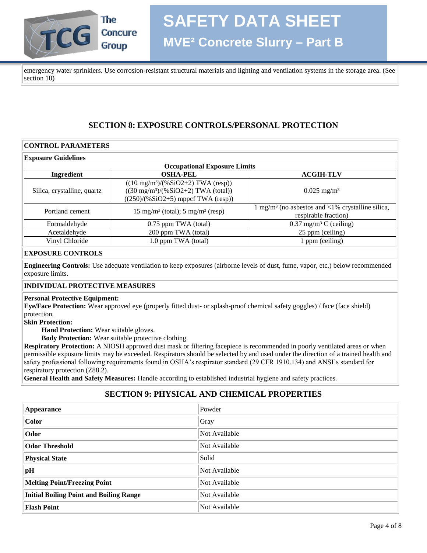

emergency water sprinklers. Use corrosion-resistant structural materials and lighting and ventilation systems in the storage area. (See section 10)

## **SECTION 8: EXPOSURE CONTROLS/PERSONAL PROTECTION**

#### **CONTROL PARAMETERS**

| <b>Exposure Guidelines</b>                                                |                                                        |                                                  |  |
|---------------------------------------------------------------------------|--------------------------------------------------------|--------------------------------------------------|--|
| <b>Occupational Exposure Limits</b>                                       |                                                        |                                                  |  |
| Ingredient                                                                | <b>OSHA-PEL</b>                                        | <b>ACGIH-TLV</b>                                 |  |
|                                                                           | $((10 \text{ mg/m}^3)/(96 \text{SiO2+2})$ TWA (resp))  |                                                  |  |
| Silica, crystalline, quartz                                               | $((30 \text{ mg/m}^3)/(96 \text{SiO2+2})$ TWA (total)) | $0.025 \text{ mg/m}^3$                           |  |
|                                                                           | $((250)/(%SiO2+5)$ mppcf TWA (resp))                   |                                                  |  |
| $15 \text{ mg/m}^3$ (total); $5 \text{ mg/m}^3$ (resp)<br>Portland cement |                                                        | $mg/m3$ (no asbestos and <1% crystalline silica, |  |
|                                                                           |                                                        | respirable fraction)                             |  |
| Formaldehyde                                                              | 0.75 ppm TWA (total)                                   | $0.37 \text{ mg/m}^3 \text{ C}$ (ceiling)        |  |
| Acetaldehyde                                                              | 200 ppm TWA (total)                                    | 25 ppm (ceiling)                                 |  |
| Vinyl Chloride                                                            | 1.0 ppm TWA (total)                                    | 1 ppm (ceiling)                                  |  |

#### **EXPOSURE CONTROLS**

**Engineering Controls:** Use adequate ventilation to keep exposures (airborne levels of dust, fume, vapor, etc.) below recommended exposure limits.

#### **INDIVIDUAL PROTECTIVE MEASURES**

#### **Personal Protective Equipment:**

**Eye/Face Protection:** Wear approved eye (properly fitted dust- or splash-proof chemical safety goggles) / face (face shield) protection.

**Skin Protection:**

 **Hand Protection:** Wear suitable gloves.

 **Body Protection:** Wear suitable protective clothing.

**Respiratory Protection:** A NIOSH approved dust mask or filtering facepiece is recommended in poorly ventilated areas or when permissible exposure limits may be exceeded. Respirators should be selected by and used under the direction of a trained health and safety professional following requirements found in OSHA's respirator standard (29 CFR 1910.134) and ANSI's standard for respiratory protection (Z88.2).

**General Health and Safety Measures:** Handle according to established industrial hygiene and safety practices.

### **SECTION 9: PHYSICAL AND CHEMICAL PROPERTIES**

| Appearance                                     | Powder        |
|------------------------------------------------|---------------|
| <b>Color</b>                                   | Gray          |
| Odor                                           | Not Available |
| <b>Odor Threshold</b>                          | Not Available |
| <b>Physical State</b>                          | Solid         |
| $\mathbf{p}$ H                                 | Not Available |
| Melting Point/Freezing Point                   | Not Available |
| <b>Initial Boiling Point and Boiling Range</b> | Not Available |
| <b>Flash Point</b>                             | Not Available |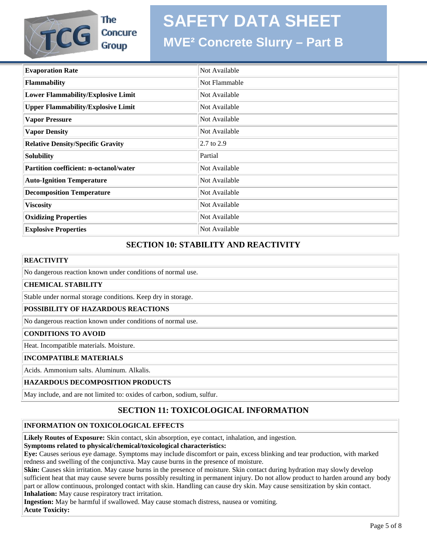# **SAFETY DATA SHEET**



**Group** 

# **MVE² Concrete Slurry – Part B**

| <b>Evaporation Rate</b>                   | Not Available |
|-------------------------------------------|---------------|
| Flammability                              | Not Flammable |
| <b>Lower Flammability/Explosive Limit</b> | Not Available |
| <b>Upper Flammability/Explosive Limit</b> | Not Available |
| <b>Vapor Pressure</b>                     | Not Available |
| <b>Vapor Density</b>                      | Not Available |
| <b>Relative Density/Specific Gravity</b>  | 2.7 to 2.9    |
| <b>Solubility</b>                         | Partial       |
| Partition coefficient: n-octanol/water    | Not Available |
| <b>Auto-Ignition Temperature</b>          | Not Available |
| <b>Decomposition Temperature</b>          | Not Available |
| <b>Viscosity</b>                          | Not Available |
| <b>Oxidizing Properties</b>               | Not Available |
| <b>Explosive Properties</b>               | Not Available |

### **SECTION 10: STABILITY AND REACTIVITY**

#### **REACTIVITY**

No dangerous reaction known under conditions of normal use.

#### **CHEMICAL STABILITY**

Stable under normal storage conditions. Keep dry in storage.

#### **POSSIBILITY OF HAZARDOUS REACTIONS**

No dangerous reaction known under conditions of normal use.

#### **CONDITIONS TO AVOID**

Heat. Incompatible materials. Moisture.

#### **INCOMPATIBLE MATERIALS**

Acids. Ammonium salts. Aluminum. Alkalis.

#### **HAZARDOUS DECOMPOSITION PRODUCTS**

May include, and are not limited to: oxides of carbon, sodium, sulfur.

# **SECTION 11: TOXICOLOGICAL INFORMATION**

#### **INFORMATION ON TOXICOLOGICAL EFFECTS**

**Likely Routes of Exposure:** Skin contact, skin absorption, eye contact, inhalation, and ingestion.

**Symptoms related to physical/chemical/toxicological characteristics:**

**Eye:** Causes serious eye damage. Symptoms may include discomfort or pain, excess blinking and tear production, with marked redness and swelling of the conjunctiva. May cause burns in the presence of moisture.

**Skin:** Causes skin irritation. May cause burns in the presence of moisture. Skin contact during hydration may slowly develop sufficient heat that may cause severe burns possibly resulting in permanent injury. Do not allow product to harden around any body part or allow continuous, prolonged contact with skin. Handling can cause dry skin. May cause sensitization by skin contact. **Inhalation:** May cause respiratory tract irritation.

**Ingestion:** May be harmful if swallowed. May cause stomach distress, nausea or vomiting.

**Acute Toxicity:**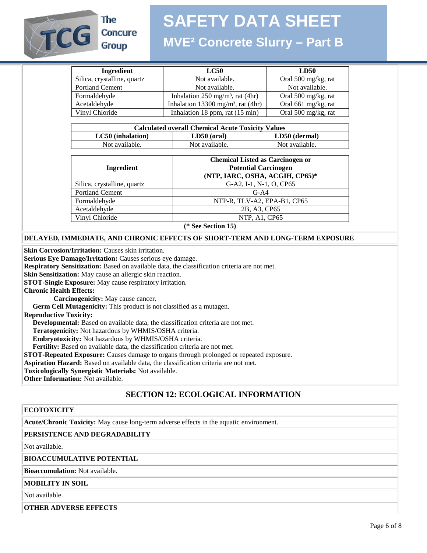

The **Concure** 

# **SAFETY DATA SHEET**

# **MVE² Concrete Slurry – Part B**

| Ingredient                  | <b>LC50</b>                                    | LD50                |
|-----------------------------|------------------------------------------------|---------------------|
| Silica, crystalline, quartz | Not available.                                 | Oral 500 mg/kg, rat |
| <b>Portland Cement</b>      | Not available.                                 | Not available.      |
| Formaldehyde                | Inhalation 250 mg/m <sup>3</sup> , rat (4hr)   | Oral 500 mg/kg, rat |
| Acetaldehyde                | Inhalation 13300 mg/m <sup>3</sup> , rat (4hr) | Oral 661 mg/kg, rat |
| Vinyl Chloride              | Inhalation 18 ppm, rat (15 min)                | Oral 500 mg/kg, rat |

| <b>Calculated overall Chemical Acute Toxicity Values</b> |                |                |
|----------------------------------------------------------|----------------|----------------|
| LC50 (inhalation)                                        | $LD50$ (oral)  | LD50 (dermal)  |
| Not available.                                           | Not available. | Not available. |

| <b>Chemical Listed as Carcinogen or</b><br><b>Potential Carcinogen</b><br>(NTP, IARC, OSHA, ACGIH, CP65)* |
|-----------------------------------------------------------------------------------------------------------|
| G-A2, I-1, N-1, O, CP65                                                                                   |
| $G-A4$                                                                                                    |
| NTP-R, TLV-A2, EPA-B1, CP65                                                                               |
| 2B, A3, CP65                                                                                              |
| NTP, A1, CP65                                                                                             |
|                                                                                                           |

**(\* See Section 15)**

#### **DELAYED, IMMEDIATE, AND CHRONIC EFFECTS OF SHORT-TERM AND LONG-TERM EXPOSURE**

**Skin Corrosion/Irritation:** Causes skin irritation.

**Serious Eye Damage/Irritation:** Causes serious eye damage.

**Respiratory Sensitization:** Based on available data, the classification criteria are not met.

**Skin Sensitization:** May cause an allergic skin reaction.

**STOT-Single Exposure:** May cause respiratory irritation.

**Chronic Health Effects:**

 **Carcinogenicity:** May cause cancer.

 **Germ Cell Mutagenicity:** This product is not classified as a mutagen.

**Reproductive Toxicity:**

 **Developmental:** Based on available data, the classification criteria are not met.

 **Teratogenicity:** Not hazardous by WHMIS/OSHA criteria.

 **Embryotoxicity:** Not hazardous by WHMIS/OSHA criteria.

 **Fertility:** Based on available data, the classification criteria are not met.

**STOT-Repeated Exposure:** Causes damage to organs through prolonged or repeated exposure.

**Aspiration Hazard:** Based on available data, the classification criteria are not met.

**Toxicologically Synergistic Materials:** Not available.

**Other Information:** Not available.

# **SECTION 12: ECOLOGICAL INFORMATION**

#### **ECOTOXICITY**

**Acute/Chronic Toxicity:** May cause long-term adverse effects in the aquatic environment.

#### **PERSISTENCE AND DEGRADABILITY**

Not available.

#### **BIOACCUMULATIVE POTENTIAL**

**Bioaccumulation:** Not available.

#### **MOBILITY IN SOIL**

Not available.

**OTHER ADVERSE EFFECTS**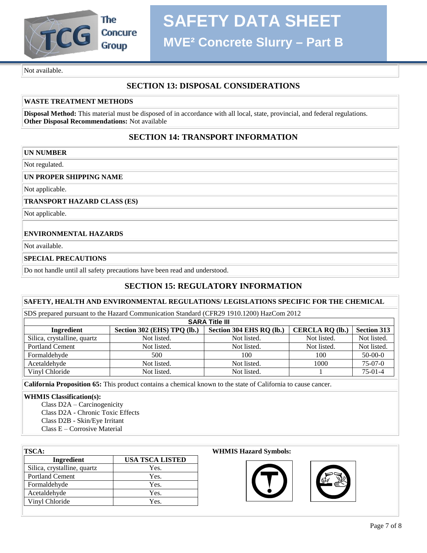

Not available.

## **SECTION 13: DISPOSAL CONSIDERATIONS**

#### **WASTE TREATMENT METHODS**

**Disposal Method:** This material must be disposed of in accordance with all local, state, provincial, and federal regulations. **Other Disposal Recommendations:** Not available

# **SECTION 14: TRANSPORT INFORMATION**

#### **UN NUMBER**

Not regulated.

#### **UN PROPER SHIPPING NAME**

Not applicable.

**TRANSPORT HAZARD CLASS (ES)**

Not applicable.

#### **ENVIRONMENTAL HAZARDS**

Not available.

#### **SPECIAL PRECAUTIONS**

Do not handle until all safety precautions have been read and understood.

# **SECTION 15: REGULATORY INFORMATION**

#### **SAFETY, HEALTH AND ENVIRONMENTAL REGULATIONS/ LEGISLATIONS SPECIFIC FOR THE CHEMICAL**

SDS prepared pursuant to the Hazard Communication Standard (CFR29 1910.1200) HazCom 2012

| <b>SARA Title III</b>       |                             |                          |                        |                    |
|-----------------------------|-----------------------------|--------------------------|------------------------|--------------------|
| Ingredient                  | Section 302 (EHS) TPQ (lb.) | Section 304 EHS RQ (lb.) | <b>CERCLA RQ (lb.)</b> | <b>Section 313</b> |
| Silica, crystalline, quartz | Not listed.                 | Not listed.              | Not listed.            | Not listed.        |
| <b>Portland Cement</b>      | Not listed.                 | Not listed.              | Not listed.            | Not listed.        |
| Formaldehyde                | 500                         | 100                      | 100                    | $50-00-0$          |
| Acetaldehyde                | Not listed.                 | Not listed.              | 1000                   | $75-07-0$          |
| Vinyl Chloride              | Not listed.                 | Not listed.              |                        | $75-01-4$          |

**California Proposition 65:** This product contains a chemical known to the state of California to cause cancer.

#### **WHMIS Classification(s):**

 Class D2A – Carcinogenicity Class D2A - Chronic Toxic Effects Class D2B - Skin/Eye Irritant Class E – Corrosive Material

| <b>TSCA:</b>                |                        |
|-----------------------------|------------------------|
| Ingredient                  | <b>USA TSCA LISTED</b> |
| Silica, crystalline, quartz | Yes.                   |
| <b>Portland Cement</b>      | Yes.                   |
| Formaldehyde                | Yes.                   |
| Acetaldehyde                | Yes.                   |
| Vinyl Chloride              | Yes.                   |

#### **WHMIS Hazard Symbols:**